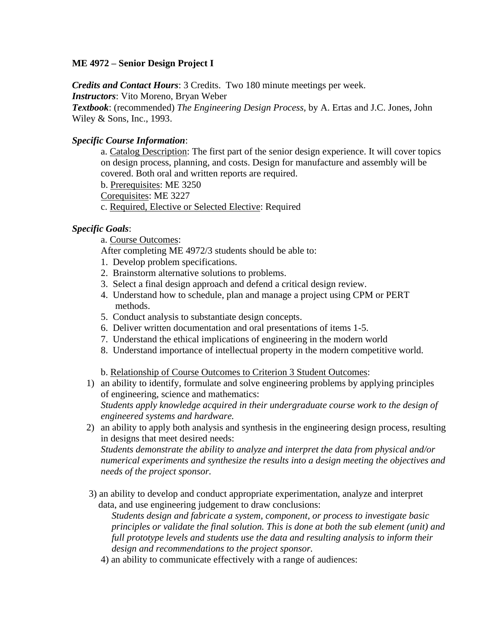## **ME 4972 – Senior Design Project I**

*Credits and Contact Hours*: 3 Credits. Two 180 minute meetings per week.

*Instructors*: Vito Moreno, Bryan Weber

*Textbook*: (recommended) *The Engineering Design Process,* by A. Ertas and J.C. Jones, John Wiley & Sons, Inc., 1993.

## *Specific Course Information*:

a. Catalog Description: The first part of the senior design experience. It will cover topics on design process, planning, and costs. Design for manufacture and assembly will be covered. Both oral and written reports are required.

b. Prerequisites: ME 3250

Corequisites: ME 3227

c. Required, Elective or Selected Elective: Required

## *Specific Goals*:

a. Course Outcomes:

After completing ME 4972/3 students should be able to:

- 1. Develop problem specifications.
- 2. Brainstorm alternative solutions to problems.
- 3. Select a final design approach and defend a critical design review.
- 4. Understand how to schedule, plan and manage a project using CPM or PERT methods.
- 5. Conduct analysis to substantiate design concepts.
- 6. Deliver written documentation and oral presentations of items 1-5.
- 7. Understand the ethical implications of engineering in the modern world
- 8. Understand importance of intellectual property in the modern competitive world.

b. Relationship of Course Outcomes to Criterion 3 Student Outcomes:

- 1) an ability to identify, formulate and solve engineering problems by applying principles of engineering, science and mathematics: *Students apply knowledge acquired in their undergraduate course work to the design of engineered systems and hardware.*
- 2) an ability to apply both analysis and synthesis in the engineering design process, resulting in designs that meet desired needs:

*Students demonstrate the ability to analyze and interpret the data from physical and/or numerical experiments and synthesize the results into a design meeting the objectives and needs of the project sponsor.*

 3) an ability to develop and conduct appropriate experimentation, analyze and interpret data, and use engineering judgement to draw conclusions:

*Students design and fabricate a system, component, or process to investigate basic principles or validate the final solution. This is done at both the sub element (unit) and full prototype levels and students use the data and resulting analysis to inform their design and recommendations to the project sponsor.*

4) an ability to communicate effectively with a range of audiences: